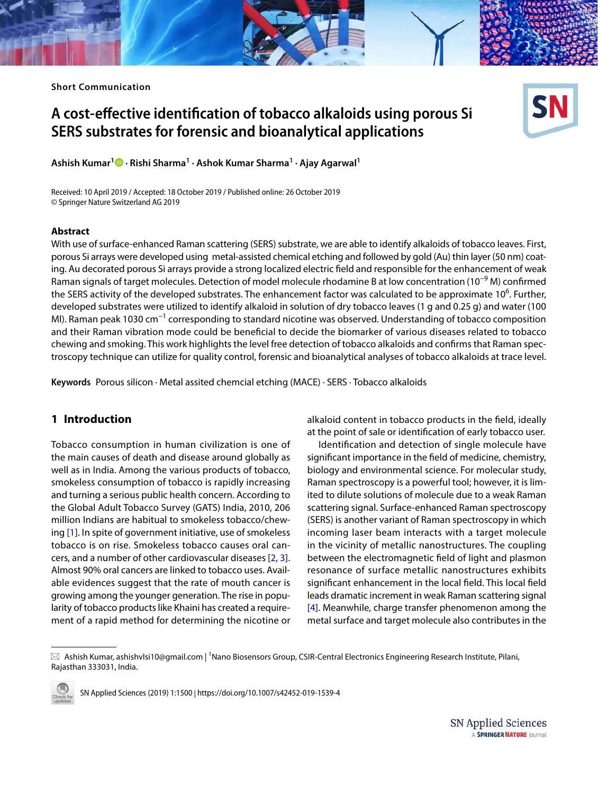# **A cost‑effective identification of tobacco alkaloids using porous Si SERS substrates for forensic and bioanalytical applications**



**Ashish Kumar<sup>1</sup>  [·](http://orcid.org/0000-0003-3535-2463) Rishi Sharma<sup>1</sup> · Ashok Kumar Sharma<sup>1</sup> · Ajay Agarwal<sup>1</sup>**

Received: 10 April 2019 / Accepted: 18 October 2019 / Published online: 26 October 2019 © Springer Nature Switzerland AG 2019

#### **Abstract**

With use of surface-enhanced Raman scattering (SERS) substrate, we are able to identify alkaloids of tobacco leaves. First, porous Si arrays were developed using metal-assisted chemical etching and followed by gold (Au) thin layer (50 nm) coating. Au decorated porous Si arrays provide a strong localized electric field and responsible for the enhancement of weak Raman signals of target molecules. Detection of model molecule rhodamine B at low concentration (10<sup>-9</sup> M) confirmed the SERS activity of the developed substrates. The enhancement factor was calculated to be approximate 10<sup>6</sup>. Further, developed substrates were utilized to identify alkaloid in solution of dry tobacco leaves (1 g and 0.25 g) and water (100 Ml). Raman peak 1030 cm<sup>−1</sup> corresponding to standard nicotine was observed. Understanding of tobacco composition and their Raman vibration mode could be beneficial to decide the biomarker of various diseases related to tobacco chewing and smoking. This work highlights the level free detection of tobacco alkaloids and confirms that Raman spectroscopy technique can utilize for quality control, forensic and bioanalytical analyses of tobacco alkaloids at trace level.

**Keywords** Porous silicon · Metal assited chemcial etching (MACE) · SERS · Tobacco alkaloids

## **1 Introduction**

Tobacco consumption in human civilization is one of the main causes of death and disease around globally as well as in India. Among the various products of tobacco, smokeless consumption of tobacco is rapidly increasing and turning a serious public health concern. According to the Global Adult Tobacco Survey (GATS) India, 2010, 206 million Indians are habitual to smokeless tobacco/chewing [\[1\]](#page-4-0). In spite of government initiative, use of smokeless tobacco is on rise. Smokeless tobacco causes oral cancers, and a number of other cardiovascular diseases [[2,](#page-4-1) [3](#page-4-2)]. Almost 90% oral cancers are linked to tobacco uses. Available evidences suggest that the rate of mouth cancer is growing among the younger generation. The rise in popularity of tobacco products like Khaini has created a requirement of a rapid method for determining the nicotine or

alkaloid content in tobacco products in the field, ideally at the point of sale or identification of early tobacco user.

Identification and detection of single molecule have significant importance in the field of medicine, chemistry, biology and environmental science. For molecular study, Raman spectroscopy is a powerful tool; however, it is limited to dilute solutions of molecule due to a weak Raman scattering signal. Surface-enhanced Raman spectroscopy (SERS) is another variant of Raman spectroscopy in which incoming laser beam interacts with a target molecule in the vicinity of metallic nanostructures. The coupling between the electromagnetic field of light and plasmon resonance of surface metallic nanostructures exhibits significant enhancement in the local field. This local field leads dramatic increment in weak Raman scattering signal [[4](#page-5-0)]. Meanwhile, charge transfer phenomenon among the metal surface and target molecule also contributes in the

 $\boxtimes$  Ashish Kumar, ashishvlsi10@gmail.com | <sup>1</sup>Nano Biosensors Group, CSIR-Central Electronics Engineering Research Institute, Pilani, Rajasthan 333031, India.



SN Applied Sciences (2019) 1:1500 | https://doi.org/10.1007/s42452-019-1539-4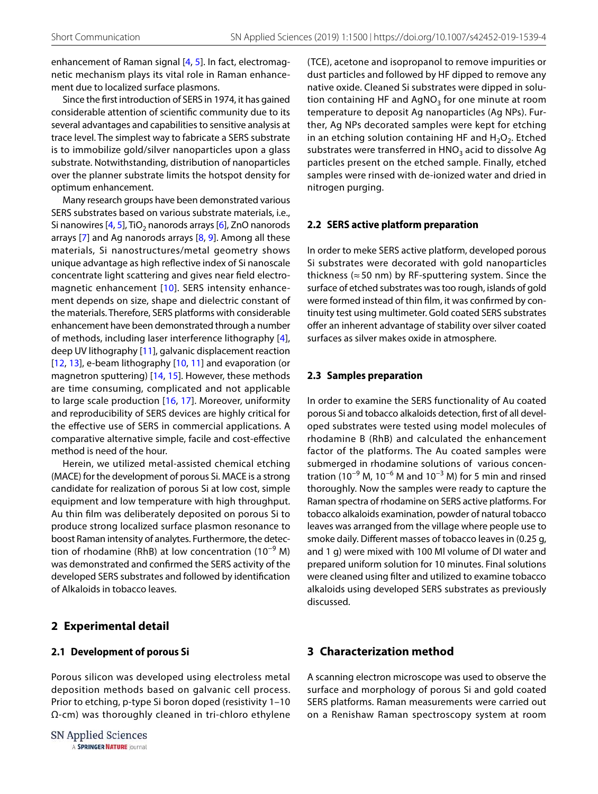enhancement of Raman signal [[4,](#page-5-0) [5\]](#page-5-1). In fact, electromagnetic mechanism plays its vital role in Raman enhancement due to localized surface plasmons.

Since the first introduction of SERS in 1974, it has gained considerable attention of scientific community due to its several advantages and capabilities to sensitive analysis at trace level. The simplest way to fabricate a SERS substrate is to immobilize gold/silver nanoparticles upon a glass substrate. Notwithstanding, distribution of nanoparticles over the planner substrate limits the hotspot density for optimum enhancement.

Many research groups have been demonstrated various SERS substrates based on various substrate materials, i.e., Si nanowires [[4,](#page-5-0) [5\]](#page-5-1), TiO<sub>2</sub> nanorods arrays [\[6](#page-5-2)], ZnO nanorods arrays  $[7]$  and Ag nanorods arrays  $[8, 9]$  $[8, 9]$  $[8, 9]$ . Among all these materials, Si nanostructures/metal geometry shows unique advantage as high reflective index of Si nanoscale concentrate light scattering and gives near field electro-magnetic enhancement [[10\]](#page-5-6). SERS intensity enhancement depends on size, shape and dielectric constant of the materials. Therefore, SERS platforms with considerable enhancement have been demonstrated through a number of methods, including laser interference lithography [[4](#page-5-0)], deep UV lithography [[11](#page-5-7)], galvanic displacement reaction [[12](#page-5-8), [13](#page-5-9)], e-beam lithography [\[10,](#page-5-6) [11](#page-5-7)] and evaporation (or magnetron sputtering) [\[14,](#page-5-10) [15\]](#page-5-11). However, these methods are time consuming, complicated and not applicable to large scale production [[16](#page-5-12), [17\]](#page-5-13). Moreover, uniformity and reproducibility of SERS devices are highly critical for the effective use of SERS in commercial applications. A comparative alternative simple, facile and cost-effective method is need of the hour.

Herein, we utilized metal-assisted chemical etching (MACE) for the development of porous Si. MACE is a strong candidate for realization of porous Si at low cost, simple equipment and low temperature with high throughput. Au thin film was deliberately deposited on porous Si to produce strong localized surface plasmon resonance to boost Raman intensity of analytes. Furthermore, the detection of rhodamine (RhB) at low concentration (10<sup>-9</sup> M) was demonstrated and confirmed the SERS activity of the developed SERS substrates and followed by identification of Alkaloids in tobacco leaves.

## **2 Experimental detail**

#### **2.1 Development of porous Si**

Porous silicon was developed using electroless metal deposition methods based on galvanic cell process. Prior to etching, p-type Si boron doped (resistivity 1–10 Ω-cm) was thoroughly cleaned in tri-chloro ethylene

SN Applied Sciences A SPRINGER NATURE journal (TCE), acetone and isopropanol to remove impurities or dust particles and followed by HF dipped to remove any native oxide. Cleaned Si substrates were dipped in solution containing HF and AgNO<sub>3</sub> for one minute at room temperature to deposit Ag nanoparticles (Ag NPs). Further, Ag NPs decorated samples were kept for etching in an etching solution containing HF and  $H_2O_2$ . Etched substrates were transferred in HNO<sub>3</sub> acid to dissolve Ag particles present on the etched sample. Finally, etched samples were rinsed with de-ionized water and dried in nitrogen purging.

#### **2.2 SERS active platform preparation**

In order to meke SERS active platform, developed porous Si substrates were decorated with gold nanoparticles thickness ( $\approx$  50 nm) by RF-sputtering system. Since the surface of etched substrates was too rough, islands of gold were formed instead of thin film, it was confirmed by continuity test using multimeter. Gold coated SERS substrates offer an inherent advantage of stability over silver coated surfaces as silver makes oxide in atmosphere.

#### **2.3 Samples preparation**

In order to examine the SERS functionality of Au coated porous Si and tobacco alkaloids detection, first of all developed substrates were tested using model molecules of rhodamine B (RhB) and calculated the enhancement factor of the platforms. The Au coated samples were submerged in rhodamine solutions of various concentration (10<sup>-9</sup> M, 10<sup>-6</sup> M and 10<sup>-3</sup> M) for 5 min and rinsed thoroughly. Now the samples were ready to capture the Raman spectra of rhodamine on SERS active platforms. For tobacco alkaloids examination, powder of natural tobacco leaves was arranged from the village where people use to smoke daily. Different masses of tobacco leaves in (0.25 g, and 1 g) were mixed with 100 Ml volume of DI water and prepared uniform solution for 10 minutes. Final solutions were cleaned using filter and utilized to examine tobacco alkaloids using developed SERS substrates as previously discussed.

## **3 Characterization method**

A scanning electron microscope was used to observe the surface and morphology of porous Si and gold coated SERS platforms. Raman measurements were carried out on a Renishaw Raman spectroscopy system at room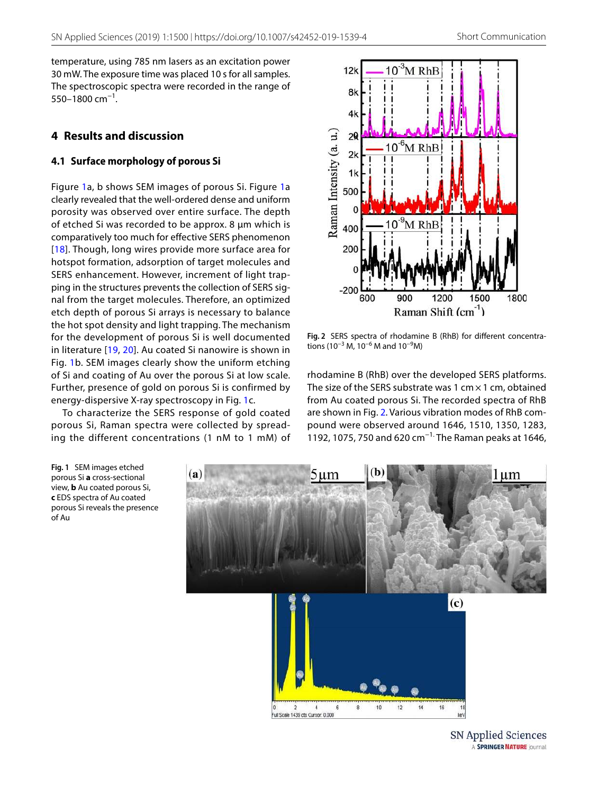temperature, using 785 nm lasers as an excitation power 30 mW. The exposure time was placed 10 s for all samples. The spectroscopic spectra were recorded in the range of 550–1800 cm<sup>-1</sup>.

## **4 Results and discussion**

## **4.1 Surface morphology of porous Si**

Figure [1a](#page-2-0), b shows SEM images of porous Si. Figure [1](#page-2-0)a clearly revealed that the well-ordered dense and uniform porosity was observed over entire surface. The depth of etched Si was recorded to be approx. 8 µm which is comparatively too much for effective SERS phenomenon [[18\]](#page-5-14). Though, long wires provide more surface area for hotspot formation, adsorption of target molecules and SERS enhancement. However, increment of light trapping in the structures prevents the collection of SERS signal from the target molecules. Therefore, an optimized etch depth of porous Si arrays is necessary to balance the hot spot density and light trapping. The mechanism for the development of porous Si is well documented in literature [[19,](#page-5-15) [20](#page-5-16)]. Au coated Si nanowire is shown in Fig. [1b](#page-2-0). SEM images clearly show the uniform etching of Si and coating of Au over the porous Si at low scale. Further, presence of gold on porous Si is confirmed by energy-dispersive X-ray spectroscopy in Fig. [1c](#page-2-0).

To characterize the SERS response of gold coated porous Si, Raman spectra were collected by spreading the different concentrations (1 nM to 1 mM) of

<span id="page-2-0"></span>**Fig. 1** SEM images etched porous Si **a** cross-sectional view, **b** Au coated porous Si, **c** EDS spectra of Au coated porous Si reveals the presence

of Au



<span id="page-2-1"></span>**Fig. 2** SERS spectra of rhodamine B (RhB) for different concentrations (10<sup>-3</sup> M, 10<sup>-6</sup> M and 10<sup>-9</sup>M)

rhodamine B (RhB) over the developed SERS platforms. The size of the SERS substrate was 1 cm  $\times$  1 cm, obtained from Au coated porous Si. The recorded spectra of RhB are shown in Fig. [2](#page-2-1). Various vibration modes of RhB compound were observed around 1646, 1510, 1350, 1283, 1192, 1075, 750 and 620 cm−1. The Raman peaks at 1646,



SN Applied Sciences A SPRINGER NATURE journal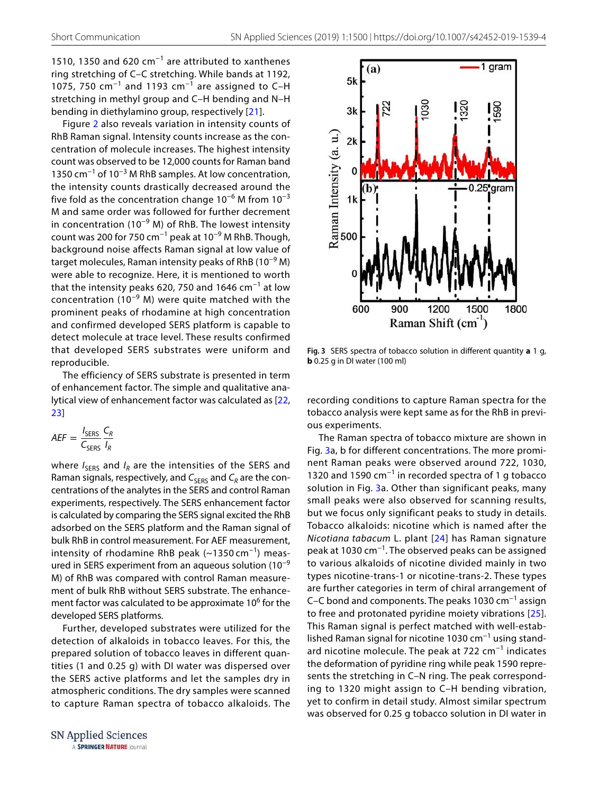1510, 1350 and 620 cm<sup>-1</sup> are attributed to xanthenes ring stretching of C–C stretching. While bands at 1192, 1075, 750 cm<sup>-1</sup> and 1193 cm<sup>-1</sup> are assigned to C-H stretching in methyl group and C–H bending and N–H bending in diethylamino group, respectively [[21](#page-5-17)].

Figure [2](#page-2-1) also reveals variation in intensity counts of RhB Raman signal. Intensity counts increase as the concentration of molecule increases. The highest intensity count was observed to be 12,000 counts for Raman band 1350 cm<sup>-1</sup> of 10<sup>-3</sup> M RhB samples. At low concentration, the intensity counts drastically decreased around the five fold as the concentration change  $10^{-6}$  M from  $10^{-3}$ M and same order was followed for further decrement in concentration (10<sup>-9</sup> M) of RhB. The lowest intensity count was 200 for 750 cm−1 peak at 10−9 M RhB. Though, background noise affects Raman signal at low value of target molecules, Raman intensity peaks of RhB (10−9 M) were able to recognize. Here, it is mentioned to worth that the intensity peaks 620, 750 and 1646  $cm^{-1}$  at low concentration (10−9 M) were quite matched with the prominent peaks of rhodamine at high concentration and confirmed developed SERS platform is capable to detect molecule at trace level. These results confirmed that developed SERS substrates were uniform and reproducible.

The efficiency of SERS substrate is presented in term of enhancement factor. The simple and qualitative analytical view of enhancement factor was calculated as [[22](#page-5-18), [23\]](#page-5-19)

$$
AEF = \frac{I_{\text{SERS}}}{C_{\text{SERS}}} \frac{C_R}{I_R}
$$

where  $I_{\text{SERS}}$  and  $I_R$  are the intensities of the SERS and Raman signals, respectively, and  $C_{\text{SERS}}$  and  $C_R$  are the concentrations of the analytes in the SERS and control Raman experiments, respectively. The SERS enhancement factor is calculated by comparing the SERS signal excited the RhB adsorbed on the SERS platform and the Raman signal of bulk RhB in control measurement. For AEF measurement, intensity of rhodamine RhB peak  $(~1350 cm<sup>-1</sup>)$  measured in SERS experiment from an aqueous solution  $(10^{-9}$ M) of RhB was compared with control Raman measurement of bulk RhB without SERS substrate. The enhancement factor was calculated to be approximate 10<sup>6</sup> for the developed SERS platforms.

Further, developed substrates were utilized for the detection of alkaloids in tobacco leaves. For this, the prepared solution of tobacco leaves in different quantities (1 and 0.25 g) with DI water was dispersed over the SERS active platforms and let the samples dry in atmospheric conditions. The dry samples were scanned to capture Raman spectra of tobacco alkaloids. The

SN Applied Sciences A SPRINGER NATURE journal



<span id="page-3-0"></span>**Fig. 3** SERS spectra of tobacco solution in different quantity **a** 1 g, **b** 0.25 g in DI water (100 ml)

recording conditions to capture Raman spectra for the tobacco analysis were kept same as for the RhB in previous experiments.

The Raman spectra of tobacco mixture are shown in Fig. [3](#page-3-0)a, b for different concentrations. The more prominent Raman peaks were observed around 722, 1030, 1320 and 1590 cm−1 in recorded spectra of 1 g tobacco solution in Fig. [3a](#page-3-0). Other than significant peaks, many small peaks were also observed for scanning results, but we focus only significant peaks to study in details. Tobacco alkaloids: nicotine which is named after the Nicotiana tabacum L. plant [[24\]](#page-5-20) has Raman signature peak at 1030 cm−1. The observed peaks can be assigned to various alkaloids of nicotine divided mainly in two types nicotine-trans-1 or nicotine-trans-2. These types are further categories in term of chiral arrangement of C–C bond and components. The peaks 1030 cm−1 assign to free and protonated pyridine moiety vibrations [[25](#page-5-21)]. This Raman signal is perfect matched with well-established Raman signal for nicotine 1030 cm−1 using standard nicotine molecule. The peak at 722 cm<sup>-1</sup> indicates the deformation of pyridine ring while peak 1590 represents the stretching in C–N ring. The peak corresponding to 1320 might assign to C–H bending vibration, yet to confirm in detail study. Almost similar spectrum was observed for 0.25 g tobacco solution in DI water in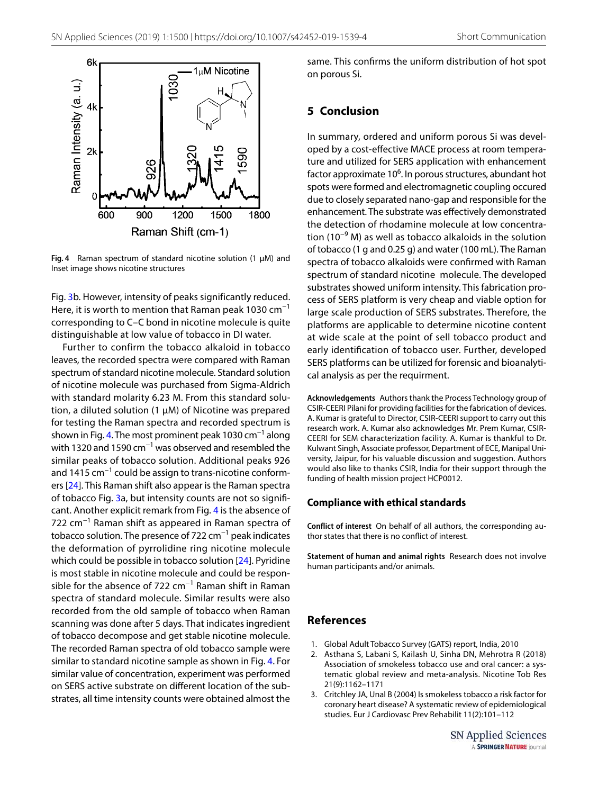

<span id="page-4-3"></span>**Fig. 4** Raman spectrum of standard nicotine solution (1 µM) and Inset image shows nicotine structures

Fig. [3b](#page-3-0). However, intensity of peaks significantly reduced. Here, it is worth to mention that Raman peak 1030  $cm^{-1}$ corresponding to C–C bond in nicotine molecule is quite distinguishable at low value of tobacco in DI water.

Further to confirm the tobacco alkaloid in tobacco leaves, the recorded spectra were compared with Raman spectrum of standard nicotine molecule. Standard solution of nicotine molecule was purchased from Sigma-Aldrich with standard molarity 6.23 M. From this standard solution, a diluted solution (1 µM) of Nicotine was prepared for testing the Raman spectra and recorded spectrum is shown in Fig. [4.](#page-4-3) The most prominent peak 1030  $cm^{-1}$  along with 1320 and 1590  $cm^{-1}$  was observed and resembled the similar peaks of tobacco solution. Additional peaks 926 and 1415 cm<sup>-1</sup> could be assign to trans-nicotine conformers [[24](#page-5-20)]. This Raman shift also appear is the Raman spectra of tobacco Fig. [3](#page-3-0)a, but intensity counts are not so significant. Another explicit remark from Fig. [4](#page-4-3) is the absence of 722 cm−1 Raman shift as appeared in Raman spectra of tobacco solution. The presence of 722 cm $^{-1}$  peak indicates the deformation of pyrrolidine ring nicotine molecule which could be possible in tobacco solution [[24\]](#page-5-20). Pyridine is most stable in nicotine molecule and could be responsible for the absence of 722 cm<sup>-1</sup> Raman shift in Raman spectra of standard molecule. Similar results were also recorded from the old sample of tobacco when Raman scanning was done after 5 days. That indicates ingredient of tobacco decompose and get stable nicotine molecule. The recorded Raman spectra of old tobacco sample were similar to standard nicotine sample as shown in Fig. [4.](#page-4-3) For similar value of concentration, experiment was performed on SERS active substrate on different location of the substrates, all time intensity counts were obtained almost the

same. This confirms the uniform distribution of hot spot on porous Si.

## **5 Conclusion**

In summary, ordered and uniform porous Si was developed by a cost-effective MACE process at room temperature and utilized for SERS application with enhancement factor approximate 10<sup>6</sup>. In porous structures, abundant hot spots were formed and electromagnetic coupling occured due to closely separated nano-gap and responsible for the enhancement. The substrate was effectively demonstrated the detection of rhodamine molecule at low concentration (10−9 M) as well as tobacco alkaloids in the solution of tobacco (1 g and 0.25 g) and water (100 mL). The Raman spectra of tobacco alkaloids were confirmed with Raman spectrum of standard nicotine molecule. The developed substrates showed uniform intensity. This fabrication process of SERS platform is very cheap and viable option for large scale production of SERS substrates. Therefore, the platforms are applicable to determine nicotine content at wide scale at the point of sell tobacco product and early identification of tobacco user. Further, developed SERS platforms can be utilized for forensic and bioanalytical analysis as per the requirment.

**Acknowledgements** Authors thank the Process Technology group of CSIR-CEERI Pilani for providing facilities for the fabrication of devices. A. Kumar is grateful to Director, CSIR-CEERI support to carry out this research work. A. Kumar also acknowledges Mr. Prem Kumar, CSIR-CEERI for SEM characterization facility. A. Kumar is thankful to Dr. Kulwant Singh, Associate professor, Department of ECE, Manipal University, Jaipur, for his valuable discussion and suggestion. Authors would also like to thanks CSIR, India for their support through the funding of health mission project HCP0012.

#### **Compliance with ethical standards**

**Conflict of interest** On behalf of all authors, the corresponding author states that there is no conflict of interest.

**Statement of human and animal rights** Research does not involve human participants and/or animals.

## **References**

- <span id="page-4-0"></span>1. Global Adult Tobacco Survey (GATS) report, India, 2010
- <span id="page-4-1"></span> 2. Asthana S, Labani S, Kailash U, Sinha DN, Mehrotra R (2018) Association of smokeless tobacco use and oral cancer: a systematic global review and meta-analysis. Nicotine Tob Res 21(9):1162–1171
- <span id="page-4-2"></span> 3. Critchley JA, Unal B (2004) Is smokeless tobacco a risk factor for coronary heart disease? A systematic review of epidemiological studies. Eur J Cardiovasc Prev Rehabilit 11(2):101–112

SN Applied Sciences A SPRINGER NATURE journal